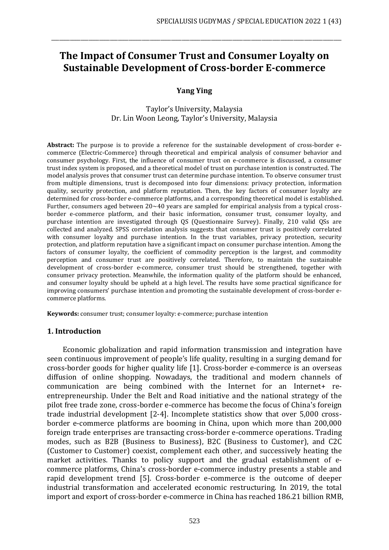# **The Impact of Consumer Trust and Consumer Loyalty on Sustainable Development of Cross-border E-commerce**

\_\_\_\_\_\_\_\_\_\_\_\_\_\_\_\_\_\_\_\_\_\_\_\_\_\_\_\_\_\_\_\_\_\_\_\_\_\_\_\_\_\_\_\_\_\_\_\_\_\_\_\_\_\_\_\_\_\_\_\_\_\_\_\_\_\_\_\_\_\_\_\_\_\_\_\_\_\_\_\_\_\_\_\_\_\_\_\_\_\_\_\_\_\_\_\_\_\_\_\_\_\_\_\_\_\_\_\_\_

## **Yang Ying**

## Taylor's University, Malaysia Dr. Lin Woon Leong, Taylor's University, Malaysia

**Abstract:** The purpose is to provide a reference for the sustainable development of cross-border ecommerce (Electric-Commerce) through theoretical and empirical analysis of consumer behavior and consumer psychology. First, the influence of consumer trust on e-commerce is discussed, a consumer trust index system is proposed, and a theoretical model of trust on purchase intention is constructed. The model analysis proves that consumer trust can determine purchase intention. To observe consumer trust from multiple dimensions, trust is decomposed into four dimensions: privacy protection, information quality, security protection, and platform reputation. Then, the key factors of consumer loyalty are determined for cross-border e-commerce platforms, and a corresponding theoretical model is established. Further, consumers aged between  $20~-40$  years are sampled for empirical analysis from a typical crossborder e-commerce platform, and their basic information, consumer trust, consumer loyalty, and purchase intention are investigated through QS (Questionnaire Survey). Finally, 210 valid QSs are collected and analyzed. SPSS correlation analysis suggests that consumer trust is positively correlated with consumer loyalty and purchase intention. In the trust variables, privacy protection, security protection, and platform reputation have a significant impact on consumer purchase intention. Among the factors of consumer loyalty, the coefficient of commodity perception is the largest, and commodity perception and consumer trust are positively correlated. Therefore, to maintain the sustainable development of cross-border e-commerce, consumer trust should be strengthened, together with consumer privacy protection. Meanwhile, the information quality of the platform should be enhanced, and consumer loyalty should be upheld at a high level. The results have some practical significance for improving consumers' purchase intention and promoting the sustainable development of cross-border ecommerce platforms.

**Keywords:** consumer trust; consumer loyalty: e-commerce; purchase intention

#### **1. Introduction**

Economic globalization and rapid information transmission and integration have seen continuous improvement of people's life quality, resulting in a surging demand for cross-border goods for higher quality life [1]. Cross-border e-commerce is an overseas diffusion of online shopping. Nowadays, the traditional and modern channels of communication are being combined with the Internet for an Internet+ reentrepreneurship. Under the Belt and Road initiative and the national strategy of the pilot free trade zone, cross-border e-commerce has become the focus of China's foreign trade industrial development [2-4]. Incomplete statistics show that over 5,000 crossborder e-commerce platforms are booming in China, upon which more than 200,000 foreign trade enterprises are transacting cross-border e-commerce operations. Trading modes, such as B2B (Business to Business), B2C (Business to Customer), and C2C (Customer to Customer) coexist, complement each other, and successively heating the market activities. Thanks to policy support and the gradual establishment of ecommerce platforms, China's cross-border e-commerce industry presents a stable and rapid development trend [5]. Cross-border e-commerce is the outcome of deeper industrial transformation and accelerated economic restructuring. In 2019, the total import and export of cross-border e-commerce in China has reached 186.21 billion RMB,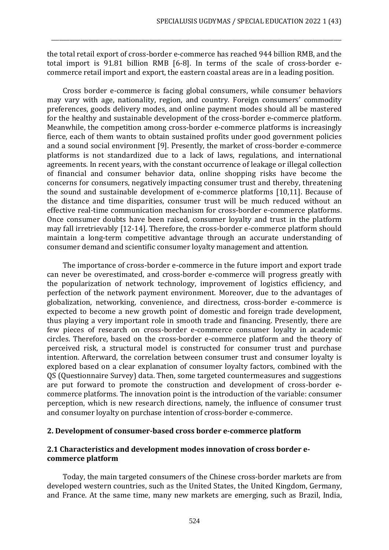the total retail export of cross-border e-commerce has reached 944 billion RMB, and the total import is 91.81 billion RMB [6-8]. In terms of the scale of cross-border ecommerce retail import and export, the eastern coastal areas are in a leading position.

\_\_\_\_\_\_\_\_\_\_\_\_\_\_\_\_\_\_\_\_\_\_\_\_\_\_\_\_\_\_\_\_\_\_\_\_\_\_\_\_\_\_\_\_\_\_\_\_\_\_\_\_\_\_\_\_\_\_\_\_\_\_\_\_\_\_\_\_\_\_\_\_\_\_\_\_\_\_\_\_\_\_\_\_\_\_\_\_\_\_\_\_\_\_\_\_\_\_\_\_\_\_\_\_\_\_\_\_\_

Cross border e-commerce is facing global consumers, while consumer behaviors may vary with age, nationality, region, and country. Foreign consumers' commodity preferences, goods delivery modes, and online payment modes should all be mastered for the healthy and sustainable development of the cross-border e-commerce platform. Meanwhile, the competition among cross-border e-commerce platforms is increasingly fierce, each of them wants to obtain sustained profits under good government policies and a sound social environment [9]. Presently, the market of cross-border e-commerce platforms is not standardized due to a lack of laws, regulations, and international agreements. In recent years, with the constant occurrence of leakage or illegal collection of financial and consumer behavior data, online shopping risks have become the concerns for consumers, negatively impacting consumer trust and thereby, threatening the sound and sustainable development of e-commerce platforms [10,11]. Because of the distance and time disparities, consumer trust will be much reduced without an effective real-time communication mechanism for cross-border e-commerce platforms. Once consumer doubts have been raised, consumer loyalty and trust in the platform may fall irretrievably [12-14]. Therefore, the cross-border e-commerce platform should maintain a long-term competitive advantage through an accurate understanding of consumer demand and scientific consumer loyalty management and attention.

The importance of cross-border e-commerce in the future import and export trade can never be overestimated, and cross-border e-commerce will progress greatly with the popularization of network technology, improvement of logistics efficiency, and perfection of the network payment environment. Moreover, due to the advantages of globalization, networking, convenience, and directness, cross-border e-commerce is expected to become a new growth point of domestic and foreign trade development, thus playing a very important role in smooth trade and financing. Presently, there are few pieces of research on cross-border e-commerce consumer loyalty in academic circles. Therefore, based on the cross-border e-commerce platform and the theory of perceived risk, a structural model is constructed for consumer trust and purchase intention. Afterward, the correlation between consumer trust and consumer loyalty is explored based on a clear explanation of consumer loyalty factors, combined with the QS (Questionnaire Survey) data. Then, some targeted countermeasures and suggestions are put forward to promote the construction and development of cross-border ecommerce platforms. The innovation point is the introduction of the variable: consumer perception, which is new research directions, namely, the influence of consumer trust and consumer loyalty on purchase intention of cross-border e-commerce.

#### **2. Development of consumer-based cross border e-commerce platform**

#### **2.1 Characteristics and development modes innovation of cross border ecommerce platform**

Today, the main targeted consumers of the Chinese cross-border markets are from developed western countries, such as the United States, the United Kingdom, Germany, and France. At the same time, many new markets are emerging, such as Brazil, India,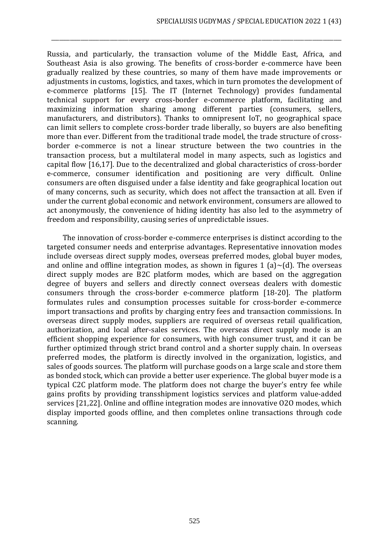Russia, and particularly, the transaction volume of the Middle East, Africa, and Southeast Asia is also growing. The benefits of cross-border e-commerce have been gradually realized by these countries, so many of them have made improvements or adjustments in customs, logistics, and taxes, which in turn promotes the development of e-commerce platforms [15]. The IT (Internet Technology) provides fundamental technical support for every cross-border e-commerce platform, facilitating and maximizing information sharing among different parties (consumers, sellers, manufacturers, and distributors). Thanks to omnipresent IoT, no geographical space can limit sellers to complete cross-border trade liberally, so buyers are also benefiting more than ever. Different from the traditional trade model, the trade structure of crossborder e-commerce is not a linear structure between the two countries in the transaction process, but a multilateral model in many aspects, such as logistics and capital flow [16,17]. Due to the decentralized and global characteristics of cross-border e-commerce, consumer identification and positioning are very difficult. Online consumers are often disguised under a false identity and fake geographical location out of many concerns, such as security, which does not affect the transaction at all. Even if under the current global economic and network environment, consumers are allowed to act anonymously, the convenience of hiding identity has also led to the asymmetry of freedom and responsibility, causing series of unpredictable issues.

\_\_\_\_\_\_\_\_\_\_\_\_\_\_\_\_\_\_\_\_\_\_\_\_\_\_\_\_\_\_\_\_\_\_\_\_\_\_\_\_\_\_\_\_\_\_\_\_\_\_\_\_\_\_\_\_\_\_\_\_\_\_\_\_\_\_\_\_\_\_\_\_\_\_\_\_\_\_\_\_\_\_\_\_\_\_\_\_\_\_\_\_\_\_\_\_\_\_\_\_\_\_\_\_\_\_\_\_\_

The innovation of cross-border e-commerce enterprises is distinct according to the targeted consumer needs and enterprise advantages. Representative innovation modes include overseas direct supply modes, overseas preferred modes, global buyer modes, and online and offline integration modes, as shown in figures 1 (a) $\sim$ (d). The overseas direct supply modes are B2C platform modes, which are based on the aggregation degree of buyers and sellers and directly connect overseas dealers with domestic consumers through the cross-border e-commerce platform [18-20]. The platform formulates rules and consumption processes suitable for cross-border e-commerce import transactions and profits by charging entry fees and transaction commissions. In overseas direct supply modes, suppliers are required of overseas retail qualification, authorization, and local after-sales services. The overseas direct supply mode is an efficient shopping experience for consumers, with high consumer trust, and it can be further optimized through strict brand control and a shorter supply chain. In overseas preferred modes, the platform is directly involved in the organization, logistics, and sales of goods sources. The platform will purchase goods on a large scale and store them as bonded stock, which can provide a better user experience. The global buyer mode is a typical C2C platform mode. The platform does not charge the buyer's entry fee while gains profits by providing transshipment logistics services and platform value-added services [21,22]. Online and offline integration modes are innovative O2O modes, which display imported goods offline, and then completes online transactions through code scanning.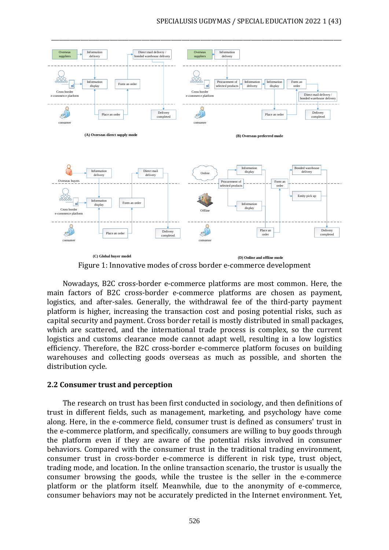

\_\_\_\_\_\_\_\_\_\_\_\_\_\_\_\_\_\_\_\_\_\_\_\_\_\_\_\_\_\_\_\_\_\_\_\_\_\_\_\_\_\_\_\_\_\_\_\_\_\_\_\_\_\_\_\_\_\_\_\_\_\_\_\_\_\_\_\_\_\_\_\_\_\_\_\_\_\_\_\_\_\_\_\_\_\_\_\_\_\_\_\_\_\_\_\_\_\_\_\_\_\_\_\_\_\_\_\_\_

Figure 1: Innovative modes of cross border e-commerce development

Nowadays, B2C cross-border e-commerce platforms are most common. Here, the main factors of B2C cross-border e-commerce platforms are chosen as payment, logistics, and after-sales. Generally, the withdrawal fee of the third-party payment platform is higher, increasing the transaction cost and posing potential risks, such as capital security and payment. Cross border retail is mostly distributed in small packages, which are scattered, and the international trade process is complex, so the current logistics and customs clearance mode cannot adapt well, resulting in a low logistics efficiency. Therefore, the B2C cross-border e-commerce platform focuses on building warehouses and collecting goods overseas as much as possible, and shorten the distribution cycle.

## **2.2 Consumer trust and perception**

The research on trust has been first conducted in sociology, and then definitions of trust in different fields, such as management, marketing, and psychology have come along. Here, in the e-commerce field, consumer trust is defined as consumers' trust in the e-commerce platform, and specifically, consumers are willing to buy goods through the platform even if they are aware of the potential risks involved in consumer behaviors. Compared with the consumer trust in the traditional trading environment, consumer trust in cross-border e-commerce is different in risk type, trust object, trading mode, and location. In the online transaction scenario, the trustor is usually the consumer browsing the goods, while the trustee is the seller in the e-commerce platform or the platform itself. Meanwhile, due to the anonymity of e-commerce, consumer behaviors may not be accurately predicted in the Internet environment. Yet,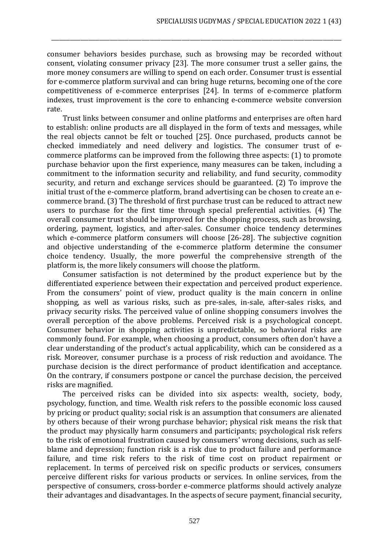consumer behaviors besides purchase, such as browsing may be recorded without consent, violating consumer privacy [23]. The more consumer trust a seller gains, the more money consumers are willing to spend on each order. Consumer trust is essential for e-commerce platform survival and can bring huge returns, becoming one of the core competitiveness of e-commerce enterprises [24]. In terms of e-commerce platform indexes, trust improvement is the core to enhancing e-commerce website conversion rate.

\_\_\_\_\_\_\_\_\_\_\_\_\_\_\_\_\_\_\_\_\_\_\_\_\_\_\_\_\_\_\_\_\_\_\_\_\_\_\_\_\_\_\_\_\_\_\_\_\_\_\_\_\_\_\_\_\_\_\_\_\_\_\_\_\_\_\_\_\_\_\_\_\_\_\_\_\_\_\_\_\_\_\_\_\_\_\_\_\_\_\_\_\_\_\_\_\_\_\_\_\_\_\_\_\_\_\_\_\_

Trust links between consumer and online platforms and enterprises are often hard to establish: online products are all displayed in the form of texts and messages, while the real objects cannot be felt or touched [25]. Once purchased, products cannot be checked immediately and need delivery and logistics. The consumer trust of ecommerce platforms can be improved from the following three aspects: (1) to promote purchase behavior upon the first experience, many measures can be taken, including a commitment to the information security and reliability, and fund security, commodity security, and return and exchange services should be guaranteed. (2) To improve the initial trust of the e-commerce platform, brand advertising can be chosen to create an ecommerce brand. (3) The threshold of first purchase trust can be reduced to attract new users to purchase for the first time through special preferential activities. (4) The overall consumer trust should be improved for the shopping process, such as browsing, ordering, payment, logistics, and after-sales. Consumer choice tendency determines which e-commerce platform consumers will choose [26-28]. The subjective cognition and objective understanding of the e-commerce platform determine the consumer choice tendency. Usually, the more powerful the comprehensive strength of the platform is, the more likely consumers will choose the platform.

Consumer satisfaction is not determined by the product experience but by the differentiated experience between their expectation and perceived product experience. From the consumers' point of view, product quality is the main concern in online shopping, as well as various risks, such as pre-sales, in-sale, after-sales risks, and privacy security risks. The perceived value of online shopping consumers involves the overall perception of the above problems. Perceived risk is a psychological concept. Consumer behavior in shopping activities is unpredictable, so behavioral risks are commonly found. For example, when choosing a product, consumers often don't have a clear understanding of the product's actual applicability, which can be considered as a risk. Moreover, consumer purchase is a process of risk reduction and avoidance. The purchase decision is the direct performance of product identification and acceptance. On the contrary, if consumers postpone or cancel the purchase decision, the perceived risks are magnified.

The perceived risks can be divided into six aspects: wealth, society, body, psychology, function, and time. Wealth risk refers to the possible economic loss caused by pricing or product quality; social risk is an assumption that consumers are alienated by others because of their wrong purchase behavior; physical risk means the risk that the product may physically harm consumers and participants; psychological risk refers to the risk of emotional frustration caused by consumers' wrong decisions, such as selfblame and depression; function risk is a risk due to product failure and performance failure, and time risk refers to the risk of time cost on product repairment or replacement. In terms of perceived risk on specific products or services, consumers perceive different risks for various products or services. In online services, from the perspective of consumers, cross-border e-commerce platforms should actively analyze their advantages and disadvantages. In the aspects of secure payment, financial security,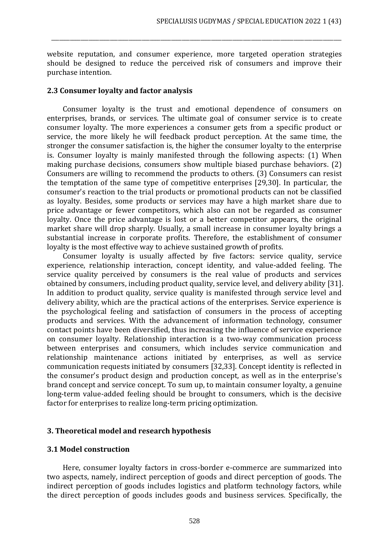website reputation, and consumer experience, more targeted operation strategies should be designed to reduce the perceived risk of consumers and improve their purchase intention.

\_\_\_\_\_\_\_\_\_\_\_\_\_\_\_\_\_\_\_\_\_\_\_\_\_\_\_\_\_\_\_\_\_\_\_\_\_\_\_\_\_\_\_\_\_\_\_\_\_\_\_\_\_\_\_\_\_\_\_\_\_\_\_\_\_\_\_\_\_\_\_\_\_\_\_\_\_\_\_\_\_\_\_\_\_\_\_\_\_\_\_\_\_\_\_\_\_\_\_\_\_\_\_\_\_\_\_\_\_

### **2.3 Consumer loyalty and factor analysis**

Consumer loyalty is the trust and emotional dependence of consumers on enterprises, brands, or services. The ultimate goal of consumer service is to create consumer loyalty. The more experiences a consumer gets from a specific product or service, the more likely he will feedback product perception. At the same time, the stronger the consumer satisfaction is, the higher the consumer loyalty to the enterprise is. Consumer loyalty is mainly manifested through the following aspects: (1) When making purchase decisions, consumers show multiple biased purchase behaviors. (2) Consumers are willing to recommend the products to others. (3) Consumers can resist the temptation of the same type of competitive enterprises [29,30]. In particular, the consumer's reaction to the trial products or promotional products can not be classified as loyalty. Besides, some products or services may have a high market share due to price advantage or fewer competitors, which also can not be regarded as consumer loyalty. Once the price advantage is lost or a better competitor appears, the original market share will drop sharply. Usually, a small increase in consumer loyalty brings a substantial increase in corporate profits. Therefore, the establishment of consumer loyalty is the most effective way to achieve sustained growth of profits.

Consumer loyalty is usually affected by five factors: service quality, service experience, relationship interaction, concept identity, and value-added feeling. The service quality perceived by consumers is the real value of products and services obtained by consumers, including product quality, service level, and delivery ability [31]. In addition to product quality, service quality is manifested through service level and delivery ability, which are the practical actions of the enterprises. Service experience is the psychological feeling and satisfaction of consumers in the process of accepting products and services. With the advancement of information technology, consumer contact points have been diversified, thus increasing the influence of service experience on consumer loyalty. Relationship interaction is a two-way communication process between enterprises and consumers, which includes service communication and relationship maintenance actions initiated by enterprises, as well as service communication requests initiated by consumers [32,33]. Concept identity is reflected in the consumer's product design and production concept, as well as in the enterprise's brand concept and service concept. To sum up, to maintain consumer loyalty, a genuine long-term value-added feeling should be brought to consumers, which is the decisive factor for enterprises to realize long-term pricing optimization.

#### **3. Theoretical model and research hypothesis**

#### **3.1 Model construction**

Here, consumer loyalty factors in cross-border e-commerce are summarized into two aspects, namely, indirect perception of goods and direct perception of goods. The indirect perception of goods includes logistics and platform technology factors, while the direct perception of goods includes goods and business services. Specifically, the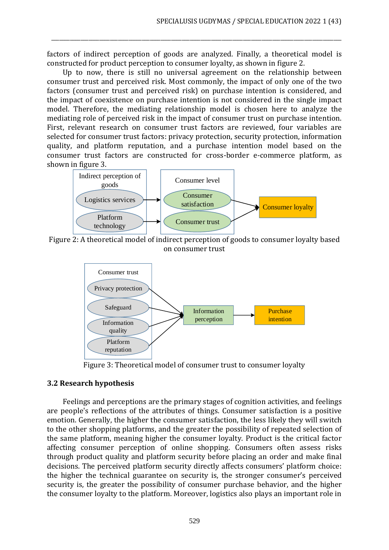factors of indirect perception of goods are analyzed. Finally, a theoretical model is constructed for product perception to consumer loyalty, as shown in figure 2.

\_\_\_\_\_\_\_\_\_\_\_\_\_\_\_\_\_\_\_\_\_\_\_\_\_\_\_\_\_\_\_\_\_\_\_\_\_\_\_\_\_\_\_\_\_\_\_\_\_\_\_\_\_\_\_\_\_\_\_\_\_\_\_\_\_\_\_\_\_\_\_\_\_\_\_\_\_\_\_\_\_\_\_\_\_\_\_\_\_\_\_\_\_\_\_\_\_\_\_\_\_\_\_\_\_\_\_\_\_

Up to now, there is still no universal agreement on the relationship between consumer trust and perceived risk. Most commonly, the impact of only one of the two factors (consumer trust and perceived risk) on purchase intention is considered, and the impact of coexistence on purchase intention is not considered in the single impact model. Therefore, the mediating relationship model is chosen here to analyze the mediating role of perceived risk in the impact of consumer trust on purchase intention. First, relevant research on consumer trust factors are reviewed, four variables are selected for consumer trust factors: privacy protection, security protection, information quality, and platform reputation, and a purchase intention model based on the consumer trust factors are constructed for cross-border e-commerce platform, as shown in figure 3.



Figure 2: A theoretical model of indirect perception of goods to consumer loyalty based on consumer trust



Figure 3: Theoretical model of consumer trust to consumer loyalty

# **3.2 Research hypothesis**

Feelings and perceptions are the primary stages of cognition activities, and feelings are people's reflections of the attributes of things. Consumer satisfaction is a positive emotion. Generally, the higher the consumer satisfaction, the less likely they will switch to the other shopping platforms, and the greater the possibility of repeated selection of the same platform, meaning higher the consumer loyalty. Product is the critical factor affecting consumer perception of online shopping. Consumers often assess risks through product quality and platform security before placing an order and make final decisions. The perceived platform security directly affects consumers' platform choice: the higher the technical guarantee on security is, the stronger consumer's perceived security is, the greater the possibility of consumer purchase behavior, and the higher the consumer loyalty to the platform. Moreover, logistics also plays an important role in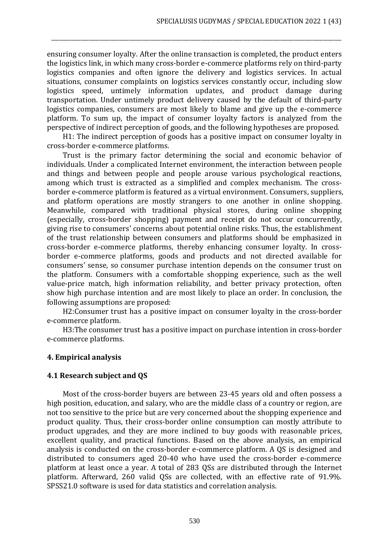ensuring consumer loyalty. After the online transaction is completed, the product enters the logistics link, in which many cross-border e-commerce platforms rely on third-party logistics companies and often ignore the delivery and logistics services. In actual situations, consumer complaints on logistics services constantly occur, including slow logistics speed, untimely information updates, and product damage during transportation. Under untimely product delivery caused by the default of third-party logistics companies, consumers are most likely to blame and give up the e-commerce platform. To sum up, the impact of consumer loyalty factors is analyzed from the perspective of indirect perception of goods, and the following hypotheses are proposed.

\_\_\_\_\_\_\_\_\_\_\_\_\_\_\_\_\_\_\_\_\_\_\_\_\_\_\_\_\_\_\_\_\_\_\_\_\_\_\_\_\_\_\_\_\_\_\_\_\_\_\_\_\_\_\_\_\_\_\_\_\_\_\_\_\_\_\_\_\_\_\_\_\_\_\_\_\_\_\_\_\_\_\_\_\_\_\_\_\_\_\_\_\_\_\_\_\_\_\_\_\_\_\_\_\_\_\_\_\_

H1: The indirect perception of goods has a positive impact on consumer loyalty in cross-border e-commerce platforms.

Trust is the primary factor determining the social and economic behavior of individuals. Under a complicated Internet environment, the interaction between people and things and between people and people arouse various psychological reactions, among which trust is extracted as a simplified and complex mechanism. The crossborder e-commerce platform is featured as a virtual environment. Consumers, suppliers, and platform operations are mostly strangers to one another in online shopping. Meanwhile, compared with traditional physical stores, during online shopping (especially, cross-border shopping) payment and receipt do not occur concurrently, giving rise to consumers' concerns about potential online risks. Thus, the establishment of the trust relationship between consumers and platforms should be emphasized in cross-border e-commerce platforms, thereby enhancing consumer loyalty. In crossborder e-commerce platforms, goods and products and not directed available for consumers' sense, so consumer purchase intention depends on the consumer trust on the platform. Consumers with a comfortable shopping experience, such as the well value-price match, high information reliability, and better privacy protection, often show high purchase intention and are most likely to place an order. In conclusion, the following assumptions are proposed:

H2:Consumer trust has a positive impact on consumer loyalty in the cross-border e-commerce platform.

H3:The consumer trust has a positive impact on purchase intention in cross-border e-commerce platforms.

## **4. Empirical analysis**

## **4.1 Research subject and QS**

Most of the cross-border buyers are between 23-45 years old and often possess a high position, education, and salary, who are the middle class of a country or region, are not too sensitive to the price but are very concerned about the shopping experience and product quality. Thus, their cross-border online consumption can mostly attribute to product upgrades, and they are more inclined to buy goods with reasonable prices, excellent quality, and practical functions. Based on the above analysis, an empirical analysis is conducted on the cross-border e-commerce platform. A QS is designed and distributed to consumers aged 20-40 who have used the cross-border e-commerce platform at least once a year. A total of 283 QSs are distributed through the Internet platform. Afterward, 260 valid QSs are collected, with an effective rate of 91.9%. SPSS21.0 software is used for data statistics and correlation analysis.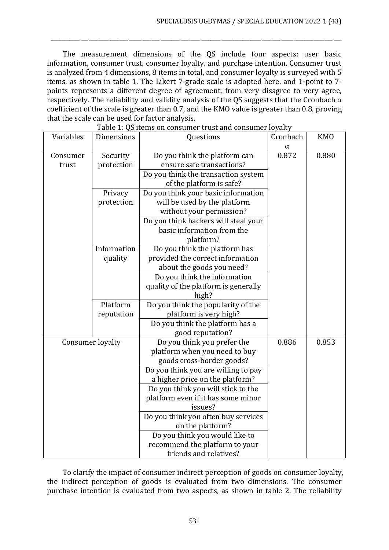The measurement dimensions of the QS include four aspects: user basic information, consumer trust, consumer loyalty, and purchase intention. Consumer trust is analyzed from 4 dimensions, 8 items in total, and consumer loyalty is surveyed with 5 items, as shown in table 1. The Likert 7-grade scale is adopted here, and 1-point to 7 points represents a different degree of agreement, from very disagree to very agree, respectively. The reliability and validity analysis of the QS suggests that the Cronbach  $\alpha$ coefficient of the scale is greater than 0.7, and the KMO value is greater than 0.8, proving that the scale can be used for factor analysis.

\_\_\_\_\_\_\_\_\_\_\_\_\_\_\_\_\_\_\_\_\_\_\_\_\_\_\_\_\_\_\_\_\_\_\_\_\_\_\_\_\_\_\_\_\_\_\_\_\_\_\_\_\_\_\_\_\_\_\_\_\_\_\_\_\_\_\_\_\_\_\_\_\_\_\_\_\_\_\_\_\_\_\_\_\_\_\_\_\_\_\_\_\_\_\_\_\_\_\_\_\_\_\_\_\_\_\_\_\_

| Variables           | Dimensions       | Questions                            | Cronbach | <b>KMO</b> |
|---------------------|------------------|--------------------------------------|----------|------------|
|                     |                  |                                      | α        |            |
| Consumer            | Security         | Do you think the platform can        | 0.872    | 0.880      |
| protection<br>trust |                  | ensure safe transactions?            |          |            |
|                     |                  | Do you think the transaction system  |          |            |
|                     |                  | of the platform is safe?             |          |            |
|                     | Privacy          | Do you think your basic information  |          |            |
|                     | protection       | will be used by the platform         |          |            |
|                     |                  | without your permission?             |          |            |
|                     |                  | Do you think hackers will steal your |          |            |
|                     |                  | basic information from the           |          |            |
|                     |                  | platform?                            |          |            |
|                     | Information      | Do you think the platform has        |          |            |
|                     | quality          | provided the correct information     |          |            |
|                     |                  | about the goods you need?            |          |            |
|                     |                  | Do you think the information         |          |            |
|                     |                  | quality of the platform is generally |          |            |
|                     |                  | high?                                |          |            |
|                     | Platform         | Do you think the popularity of the   |          |            |
|                     | reputation       | platform is very high?               |          |            |
|                     |                  | Do you think the platform has a      |          |            |
|                     |                  | good reputation?                     |          |            |
|                     | Consumer loyalty | Do you think you prefer the          | 0.886    | 0.853      |
|                     |                  | platform when you need to buy        |          |            |
|                     |                  | goods cross-border goods?            |          |            |
|                     |                  | Do you think you are willing to pay  |          |            |
|                     |                  | a higher price on the platform?      |          |            |
|                     |                  | Do you think you will stick to the   |          |            |
|                     |                  | platform even if it has some minor   |          |            |
|                     |                  | issues?                              |          |            |
|                     |                  | Do you think you often buy services  |          |            |
|                     |                  | on the platform?                     |          |            |
|                     |                  | Do you think you would like to       |          |            |
|                     |                  | recommend the platform to your       |          |            |
|                     |                  | friends and relatives?               |          |            |

Table 1: QS items on consumer trust and consumer loyalty

To clarify the impact of consumer indirect perception of goods on consumer loyalty, the indirect perception of goods is evaluated from two dimensions. The consumer purchase intention is evaluated from two aspects, as shown in table 2. The reliability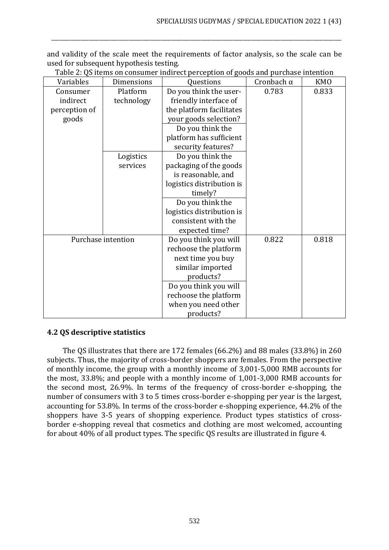and validity of the scale meet the requirements of factor analysis, so the scale can be used for subsequent hypothesis testing.

\_\_\_\_\_\_\_\_\_\_\_\_\_\_\_\_\_\_\_\_\_\_\_\_\_\_\_\_\_\_\_\_\_\_\_\_\_\_\_\_\_\_\_\_\_\_\_\_\_\_\_\_\_\_\_\_\_\_\_\_\_\_\_\_\_\_\_\_\_\_\_\_\_\_\_\_\_\_\_\_\_\_\_\_\_\_\_\_\_\_\_\_\_\_\_\_\_\_\_\_\_\_\_\_\_\_\_\_\_

| Variables     | Dimensions         | Questions                 | Cronbach $\alpha$ | KM <sub>O</sub> |
|---------------|--------------------|---------------------------|-------------------|-----------------|
| Consumer      | Platform           | Do you think the user-    | 0.783             | 0.833           |
| indirect      | technology         | friendly interface of     |                   |                 |
| perception of |                    | the platform facilitates  |                   |                 |
| goods         |                    | your goods selection?     |                   |                 |
|               |                    | Do you think the          |                   |                 |
|               |                    | platform has sufficient   |                   |                 |
|               |                    | security features?        |                   |                 |
|               | Logistics          | Do you think the          |                   |                 |
|               | services           | packaging of the goods    |                   |                 |
|               |                    | is reasonable, and        |                   |                 |
|               |                    | logistics distribution is |                   |                 |
|               |                    | timely?                   |                   |                 |
|               |                    | Do you think the          |                   |                 |
|               |                    | logistics distribution is |                   |                 |
|               |                    | consistent with the       |                   |                 |
|               |                    | expected time?            |                   |                 |
|               | Purchase intention | Do you think you will     | 0.822             | 0.818           |
|               |                    | rechoose the platform     |                   |                 |
|               |                    | next time you buy         |                   |                 |
|               |                    | similar imported          |                   |                 |
|               |                    | products?                 |                   |                 |
|               |                    | Do you think you will     |                   |                 |
|               |                    | rechoose the platform     |                   |                 |
|               |                    | when you need other       |                   |                 |
|               |                    | products?                 |                   |                 |

Table 2: QS items on consumer indirect perception of goods and purchase intention

## **4.2 QS descriptive statistics**

The QS illustrates that there are 172 females (66.2%) and 88 males (33.8%) in 260 subjects. Thus, the majority of cross-border shoppers are females. From the perspective of monthly income, the group with a monthly income of 3,001-5,000 RMB accounts for the most, 33.8%; and people with a monthly income of 1,001-3,000 RMB accounts for the second most, 26.9%. In terms of the frequency of cross-border e-shopping, the number of consumers with 3 to 5 times cross-border e-shopping per year is the largest, accounting for 53.8%. In terms of the cross-border e-shopping experience, 44.2% of the shoppers have 3-5 years of shopping experience. Product types statistics of crossborder e-shopping reveal that cosmetics and clothing are most welcomed, accounting for about 40% of all product types. The specific QS results are illustrated in figure 4.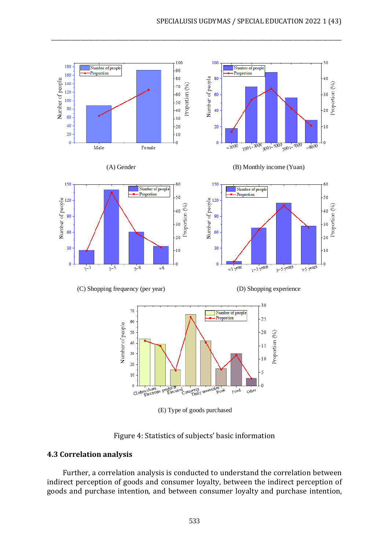

Figure 4: Statistics of subjects' basic information

## **4.3 Correlation analysis**

Further, a correlation analysis is conducted to understand the correlation between indirect perception of goods and consumer loyalty, between the indirect perception of goods and purchase intention, and between consumer loyalty and purchase intention,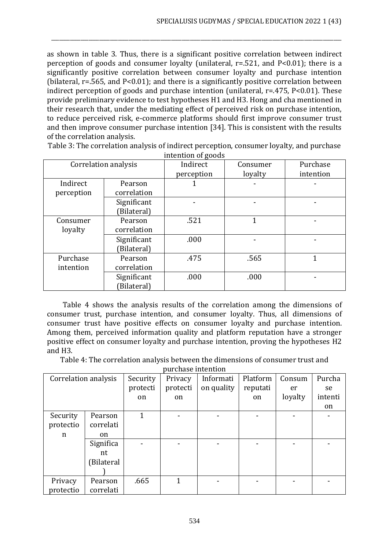as shown in table 3. Thus, there is a significant positive correlation between indirect perception of goods and consumer loyalty (unilateral, r=.521, and P<0.01); there is a significantly positive correlation between consumer loyalty and purchase intention (bilateral, r=.565, and P<0.01); and there is a significantly positive correlation between indirect perception of goods and purchase intention (unilateral, r=.475, P<0.01). These provide preliminary evidence to test hypotheses H1 and H3. Hong and cha mentioned in their research that, under the mediating effect of perceived risk on purchase intention, to reduce perceived risk, e-commerce platforms should first improve consumer trust and then improve consumer purchase intention [34]. This is consistent with the results of the correlation analysis.

\_\_\_\_\_\_\_\_\_\_\_\_\_\_\_\_\_\_\_\_\_\_\_\_\_\_\_\_\_\_\_\_\_\_\_\_\_\_\_\_\_\_\_\_\_\_\_\_\_\_\_\_\_\_\_\_\_\_\_\_\_\_\_\_\_\_\_\_\_\_\_\_\_\_\_\_\_\_\_\_\_\_\_\_\_\_\_\_\_\_\_\_\_\_\_\_\_\_\_\_\_\_\_\_\_\_\_\_\_

|            | Correlation analysis | Indirect   | Consumer | Purchase  |  |
|------------|----------------------|------------|----------|-----------|--|
|            |                      | perception | loyalty  | intention |  |
| Indirect   | Pearson              |            |          |           |  |
| perception | correlation          |            |          |           |  |
|            | Significant          |            |          |           |  |
|            | (Bilateral)          |            |          |           |  |
| Consumer   | Pearson              | .521       | 1        |           |  |
| loyalty    | correlation          |            |          |           |  |
|            | Significant          | .000       |          |           |  |
|            | (Bilateral)          |            |          |           |  |
| Purchase   | Pearson              | .475       | .565     | 1         |  |
| intention  | correlation          |            |          |           |  |
|            | Significant          | .000       | .000     |           |  |
|            | Bilateral)           |            |          |           |  |

Table 3: The correlation analysis of indirect perception, consumer loyalty, and purchase intention of goods

Table 4 shows the analysis results of the correlation among the dimensions of consumer trust, purchase intention, and consumer loyalty. Thus, all dimensions of consumer trust have positive effects on consumer loyalty and purchase intention. Among them, perceived information quality and platform reputation have a stronger positive effect on consumer loyalty and purchase intention, proving the hypotheses H2 and H3.

Table 4: The correlation analysis between the dimensions of consumer trust and

purchase intention

| Correlation analysis |           | Security | Privacy  | Informati  | Platform | Consum  | Purcha  |
|----------------------|-----------|----------|----------|------------|----------|---------|---------|
|                      |           | protecti | protecti | on quality | reputati | er      | se      |
|                      |           | on       | on       |            | on       | loyalty | intenti |
|                      |           |          |          |            |          |         | on      |
| Security             | Pearson   |          |          |            |          |         |         |
| protectio            | correlati |          |          |            |          |         |         |
| n                    | on        |          |          |            |          |         |         |
|                      | Significa |          |          |            |          |         |         |
|                      | nt        |          |          |            |          |         |         |
|                      | Bilateral |          |          |            |          |         |         |
|                      |           |          |          |            |          |         |         |
| Privacy              | Pearson   | .665     | 1        |            |          |         |         |
| protectio            | correlati |          |          |            |          |         |         |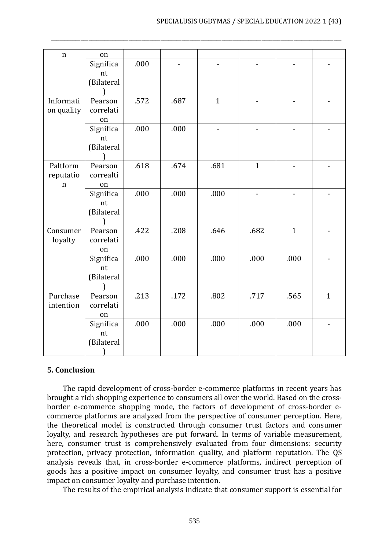| $\mathbf n$ | on         |      |      |              |              |              |              |
|-------------|------------|------|------|--------------|--------------|--------------|--------------|
|             | Significa  | .000 |      |              |              |              |              |
|             | nt         |      |      |              |              |              |              |
|             | (Bilateral |      |      |              |              |              |              |
|             |            |      |      |              |              |              |              |
| Informati   | Pearson    | .572 | .687 | $\mathbf{1}$ |              |              |              |
| on quality  | correlati  |      |      |              |              |              |              |
|             | on         |      |      |              |              |              |              |
|             | Significa  | .000 | .000 |              |              |              |              |
|             | nt         |      |      |              |              |              |              |
|             | (Bilateral |      |      |              |              |              |              |
|             |            |      |      |              |              |              |              |
| Paltform    | Pearson    | .618 | .674 | .681         | $\mathbf{1}$ |              |              |
| reputatio   | correalti  |      |      |              |              |              |              |
| $\mathbf n$ | on         |      |      |              |              |              |              |
|             | Significa  | .000 | .000 | .000         |              |              |              |
|             | nt         |      |      |              |              |              |              |
|             | (Bilateral |      |      |              |              |              |              |
|             |            |      |      |              |              |              |              |
| Consumer    | Pearson    | .422 | .208 | .646         | .682         | $\mathbf{1}$ |              |
| loyalty     | correlati  |      |      |              |              |              |              |
|             | on         |      |      |              |              |              |              |
|             | Significa  | .000 | .000 | .000         | .000         | .000         |              |
|             | nt         |      |      |              |              |              |              |
|             | (Bilateral |      |      |              |              |              |              |
|             |            |      |      |              |              |              |              |
| Purchase    | Pearson    | .213 | .172 | .802         | .717         | .565         | $\mathbf{1}$ |
| intention   | correlati  |      |      |              |              |              |              |
|             | on         |      |      |              |              |              |              |
|             | Significa  | .000 | .000 | .000         | .000         | .000         |              |
|             | nt         |      |      |              |              |              |              |
|             | (Bilateral |      |      |              |              |              |              |
|             |            |      |      |              |              |              |              |

\_\_\_\_\_\_\_\_\_\_\_\_\_\_\_\_\_\_\_\_\_\_\_\_\_\_\_\_\_\_\_\_\_\_\_\_\_\_\_\_\_\_\_\_\_\_\_\_\_\_\_\_\_\_\_\_\_\_\_\_\_\_\_\_\_\_\_\_\_\_\_\_\_\_\_\_\_\_\_\_\_\_\_\_\_\_\_\_\_\_\_\_\_\_\_\_\_\_\_\_\_\_\_\_\_\_\_\_\_

## **5. Conclusion**

The rapid development of cross-border e-commerce platforms in recent years has brought a rich shopping experience to consumers all over the world. Based on the crossborder e-commerce shopping mode, the factors of development of cross-border ecommerce platforms are analyzed from the perspective of consumer perception. Here, the theoretical model is constructed through consumer trust factors and consumer loyalty, and research hypotheses are put forward. In terms of variable measurement, here, consumer trust is comprehensively evaluated from four dimensions: security protection, privacy protection, information quality, and platform reputation. The QS analysis reveals that, in cross-border e-commerce platforms, indirect perception of goods has a positive impact on consumer loyalty, and consumer trust has a positive impact on consumer loyalty and purchase intention.

The results of the empirical analysis indicate that consumer support is essential for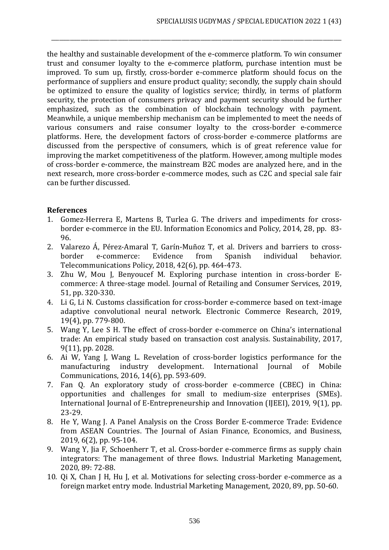the healthy and sustainable development of the e-commerce platform. To win consumer trust and consumer loyalty to the e-commerce platform, purchase intention must be improved. To sum up, firstly, cross-border e-commerce platform should focus on the performance of suppliers and ensure product quality; secondly, the supply chain should be optimized to ensure the quality of logistics service; thirdly, in terms of platform security, the protection of consumers privacy and payment security should be further emphasized, such as the combination of blockchain technology with payment. Meanwhile, a unique membership mechanism can be implemented to meet the needs of various consumers and raise consumer loyalty to the cross-border e-commerce platforms. Here, the development factors of cross-border e-commerce platforms are discussed from the perspective of consumers, which is of great reference value for improving the market competitiveness of the platform. However, among multiple modes of cross-border e-commerce, the mainstream B2C modes are analyzed here, and in the next research, more cross-border e-commerce modes, such as C2C and special sale fair can be further discussed.

\_\_\_\_\_\_\_\_\_\_\_\_\_\_\_\_\_\_\_\_\_\_\_\_\_\_\_\_\_\_\_\_\_\_\_\_\_\_\_\_\_\_\_\_\_\_\_\_\_\_\_\_\_\_\_\_\_\_\_\_\_\_\_\_\_\_\_\_\_\_\_\_\_\_\_\_\_\_\_\_\_\_\_\_\_\_\_\_\_\_\_\_\_\_\_\_\_\_\_\_\_\_\_\_\_\_\_\_\_

# **References**

- 1. Gomez-Herrera E, Martens B, Turlea G. The drivers and impediments for crossborder e-commerce in the EU. Information Economics and Policy, 2014, 28, pp. 83- 96.
- 2. Valarezo Á, Pérez-Amaral T, Garín-Muñoz T, et al. Drivers and barriers to crossborder e-commerce: Evidence from Spanish individual behavior. Telecommunications Policy, 2018, 42(6), pp. 464-473.
- 3. Zhu W, Mou J, Benyoucef M. Exploring purchase intention in cross-border Ecommerce: A three-stage model. Journal of Retailing and Consumer Services, 2019, 51, pp. 320-330.
- 4. Li G, Li N. Customs classification for cross-border e-commerce based on text-image adaptive convolutional neural network. Electronic Commerce Research, 2019, 19(4), pp. 779-800.
- 5. Wang Y, Lee S H. The effect of cross-border e-commerce on China's international trade: An empirical study based on transaction cost analysis. Sustainability, 2017, 9(11), pp. 2028.
- 6. Ai W, Yang J, Wang L. Revelation of cross-border logistics performance for the manufacturing industry development. International Journal of Mobile Communications, 2016, 14(6), pp. 593-609.
- 7. Fan Q. An exploratory study of cross-border e-commerce (CBEC) in China: opportunities and challenges for small to medium-size enterprises (SMEs). International Journal of E-Entrepreneurship and Innovation (IJEEI), 2019, 9(1), pp. 23-29.
- 8. He Y, Wang J. A Panel Analysis on the Cross Border E-commerce Trade: Evidence from ASEAN Countries. The Journal of Asian Finance, Economics, and Business, 2019, 6(2), pp. 95-104.
- 9. Wang Y, Jia F, Schoenherr T, et al. Cross-border e-commerce firms as supply chain integrators: The management of three flows. Industrial Marketing Management, 2020, 89: 72-88.
- 10. Qi X, Chan J H, Hu J, et al. Motivations for selecting cross-border e-commerce as a foreign market entry mode. Industrial Marketing Management, 2020, 89, pp. 50-60.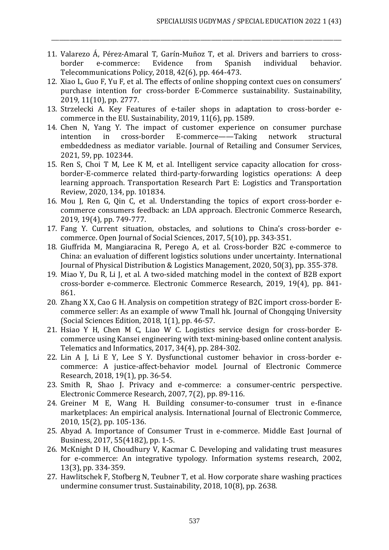11. Valarezo Á, Pérez-Amaral T, Garín-Muñoz T, et al. Drivers and barriers to crossborder e-commerce: Evidence from Spanish individual behavior. Telecommunications Policy, 2018, 42(6), pp. 464-473.

\_\_\_\_\_\_\_\_\_\_\_\_\_\_\_\_\_\_\_\_\_\_\_\_\_\_\_\_\_\_\_\_\_\_\_\_\_\_\_\_\_\_\_\_\_\_\_\_\_\_\_\_\_\_\_\_\_\_\_\_\_\_\_\_\_\_\_\_\_\_\_\_\_\_\_\_\_\_\_\_\_\_\_\_\_\_\_\_\_\_\_\_\_\_\_\_\_\_\_\_\_\_\_\_\_\_\_\_\_

- 12. Xiao L, Guo F, Yu F, et al. The effects of online shopping context cues on consumers' purchase intention for cross-border E-Commerce sustainability. Sustainability, 2019, 11(10), pp. 2777.
- 13. Strzelecki A. Key Features of e-tailer shops in adaptation to cross-border ecommerce in the EU. Sustainability, 2019, 11(6), pp. 1589.
- 14. Chen N, Yang Y. The impact of customer experience on consumer purchase intention in cross-border E-commerce——Taking network structural embeddedness as mediator variable. Journal of Retailing and Consumer Services, 2021, 59, pp. 102344.
- 15. Ren S, Choi T M, Lee K M, et al. Intelligent service capacity allocation for crossborder-E-commerce related third-party-forwarding logistics operations: A deep learning approach. Transportation Research Part E: Logistics and Transportation Review, 2020, 134, pp. 101834.
- 16. Mou J, Ren G, Qin C, et al. Understanding the topics of export cross-border ecommerce consumers feedback: an LDA approach. Electronic Commerce Research, 2019, 19(4), pp. 749-777.
- 17. Fang Y. Current situation, obstacles, and solutions to China's cross-border ecommerce. Open Journal of Social Sciences, 2017, 5(10), pp. 343-351.
- 18. Giuffrida M, Mangiaracina R, Perego A, et al. Cross-border B2C e-commerce to China: an evaluation of different logistics solutions under uncertainty. International Journal of Physical Distribution & Logistics Management, 2020, 50(3), pp. 355-378.
- 19. Miao Y, Du R, Li J, et al. A two-sided matching model in the context of B2B export cross-border e-commerce. Electronic Commerce Research, 2019, 19(4), pp. 841- 861.
- 20. Zhang X X, Cao G H. Analysis on competition strategy of B2C import cross-border Ecommerce seller: As an example of www Tmall hk. Journal of Chongqing University (Social Sciences Edition, 2018, 1(1), pp. 46-57.
- 21. Hsiao Y H, Chen M C, Liao W C. Logistics service design for cross-border Ecommerce using Kansei engineering with text-mining-based online content analysis. Telematics and Informatics, 2017, 34(4), pp. 284-302.
- 22. Lin A J, Li E Y, Lee S Y. Dysfunctional customer behavior in cross-border ecommerce: A justice-affect-behavior model. Journal of Electronic Commerce Research, 2018, 19(1), pp. 36-54.
- 23. Smith R, Shao J. Privacy and e-commerce: a consumer-centric perspective. Electronic Commerce Research, 2007, 7(2), pp. 89-116.
- 24. Greiner M E, Wang H. Building consumer-to-consumer trust in e-finance marketplaces: An empirical analysis. International Journal of Electronic Commerce, 2010, 15(2), pp. 105-136.
- 25. Abyad A. Importance of Consumer Trust in e-commerce. Middle East Journal of Business, 2017, 55(4182), pp. 1-5.
- 26. McKnight D H, Choudhury V, Kacmar C. Developing and validating trust measures for e-commerce: An integrative typology. Information systems research, 2002, 13(3), pp. 334-359.
- 27. Hawlitschek F, Stofberg N, Teubner T, et al. How corporate share washing practices undermine consumer trust. Sustainability, 2018, 10(8), pp. 2638.